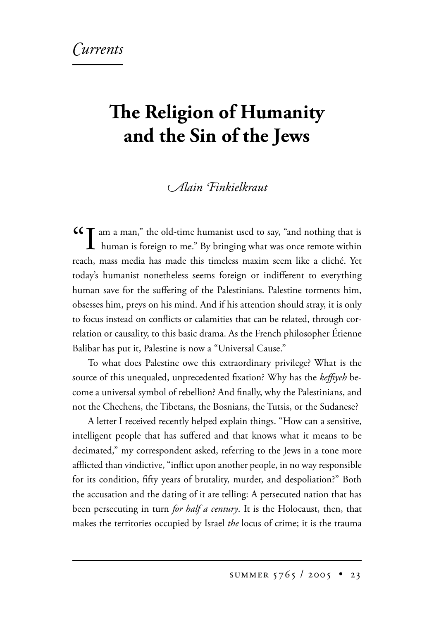## **e Religion of Humanity and the Sin of the Jews**

## *lain inkielkraut*

**CC** am a man," the old-time humanist used to say, "and nothing that is human is foreign to me." By bringing what was once remote within reach, mass media has made this timeless maxim seem like a cliché. Yet today's humanist nonetheless seems foreign or indifferent to everything human save for the suffering of the Palestinians. Palestine torments him, obsesses him, preys on his mind. And if his attention should stray, it is only to focus instead on conflicts or calamities that can be related, through correlation or causality, to this basic drama. As the French philosopher Étienne Balibar has put it, Palestine is now a "Universal Cause."

To what does Palestine owe this extraordinary privilege? What is the source of this unequaled, unprecedented fixation? Why has the *keffiyeh* become a universal symbol of rebellion? And finally, why the Palestinians, and not the Chechens, the Tibetans, the Bosnians, the Tutsis, or the Sudanese?

A letter I received recently helped explain things. "How can a sensitive, intelligent people that has suffered and that knows what it means to be decimated," my correspondent asked, referring to the Jews in a tone more afflicted than vindictive, "inflict upon another people, in no way responsible for its condition, fifty years of brutality, murder, and despoliation?" Both the accusation and the dating of it are telling: A persecuted nation that has been persecuting in turn *for half a century*. It is the Holocaust, then, that makes the territories occupied by Israel *the* locus of crime; it is the trauma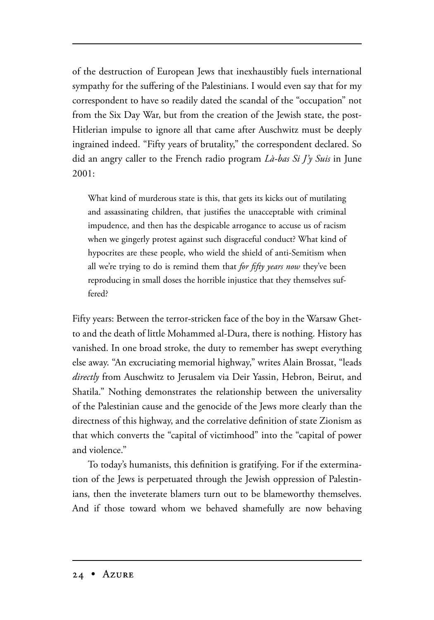of the destruction of European Jews that inexhaustibly fuels international sympathy for the suffering of the Palestinians. I would even say that for my correspondent to have so readily dated the scandal of the "occupation" not from the Six Day War, but from the creation of the Jewish state, the post-Hitlerian impulse to ignore all that came after Auschwitz must be deeply ingrained indeed. "Fifty years of brutality," the correspondent declared. So did an angry caller to the French radio program *Là-bas Si J'y Suis* in June 2001:

What kind of murderous state is this, that gets its kicks out of mutilating and assassinating children, that justifies the unacceptable with criminal impudence, and then has the despicable arrogance to accuse us of racism when we gingerly protest against such disgraceful conduct? What kind of hypocrites are these people, who wield the shield of anti-Semitism when all we're trying to do is remind them that *for fifty years now* they've been reproducing in small doses the horrible injustice that they themselves suffered?

Fifty years: Between the terror-stricken face of the boy in the Warsaw Ghetto and the death of little Mohammed al-Dura, there is nothing. History has vanished. In one broad stroke, the duty to remember has swept everything else away. "An excruciating memorial highway," writes Alain Brossat, "leads *directly* from Auschwitz to Jerusalem via Deir Yassin, Hebron, Beirut, and Shatila." Nothing demonstrates the relationship between the universality of the Palestinian cause and the genocide of the Jews more clearly than the directness of this highway, and the correlative definition of state Zionism as that which converts the "capital of victimhood" into the "capital of power and violence."

To today's humanists, this definition is gratifying. For if the extermination of the Jews is perpetuated through the Jewish oppression of Palestinians, then the inveterate blamers turn out to be blameworthy themselves. And if those toward whom we behaved shamefully are now behaving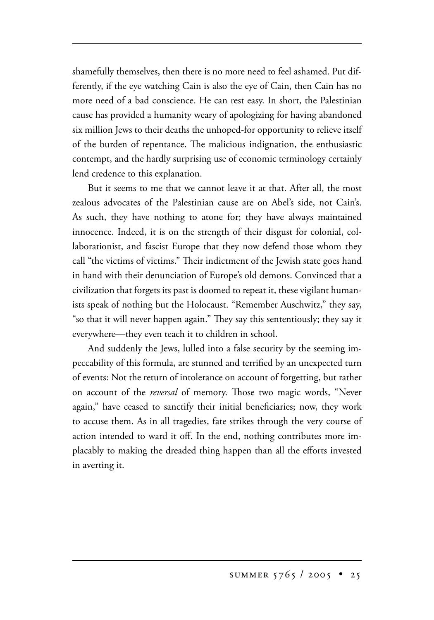shamefully themselves, then there is no more need to feel ashamed. Put differently, if the eye watching Cain is also the eye of Cain, then Cain has no more need of a bad conscience. He can rest easy. In short, the Palestinian cause has provided a humanity weary of apologizing for having abandoned six million Jews to their deaths the unhoped-for opportunity to relieve itself of the burden of repentance. The malicious indignation, the enthusiastic contempt, and the hardly surprising use of economic terminology certainly lend credence to this explanation.

But it seems to me that we cannot leave it at that. After all, the most zealous advocates of the Palestinian cause are on Abel's side, not Cain's. As such, they have nothing to atone for; they have always maintained innocence. Indeed, it is on the strength of their disgust for colonial, collaborationist, and fascist Europe that they now defend those whom they call "the victims of victims." Their indictment of the Jewish state goes hand in hand with their denunciation of Europe's old demons. Convinced that a civilization that forgets its past is doomed to repeat it, these vigilant humanists speak of nothing but the Holocaust. "Remember Auschwitz," they say, "so that it will never happen again." They say this sententiously; they say it everywhere—they even teach it to children in school.

And suddenly the Jews, lulled into a false security by the seeming impeccability of this formula, are stunned and terrified by an unexpected turn of events: Not the return of intolerance on account of forgetting, but rather on account of the *reversal* of memory. Those two magic words, "Never again," have ceased to sanctify their initial beneficiaries; now, they work to accuse them. As in all tragedies, fate strikes through the very course of action intended to ward it off. In the end, nothing contributes more implacably to making the dreaded thing happen than all the efforts invested in averting it.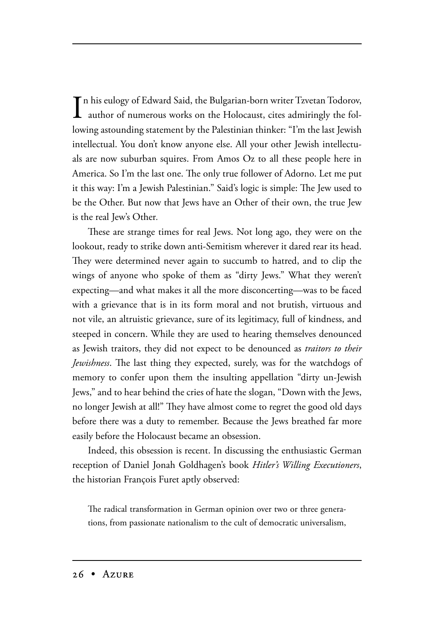In his eulogy of Edward Said, the Bulgarian-born writer Tzvetan Todorov,<br>author of numerous works on the Holocaust, cites admiringly the fol author of numerous works on the Holocaust, cites admiringly the following astounding statement by the Palestinian thinker: "I'm the last Jewish intellectual. You don't know anyone else. All your other Jewish intellectuals are now suburban squires. From Amos Oz to all these people here in America. So I'm the last one. The only true follower of Adorno. Let me put it this way: I'm a Jewish Palestinian." Said's logic is simple: The Jew used to be the Other. But now that Jews have an Other of their own, the true Jew is the real Jew's Other*.* 

These are strange times for real Jews. Not long ago, they were on the lookout, ready to strike down anti-Semitism wherever it dared rear its head. They were determined never again to succumb to hatred, and to clip the wings of anyone who spoke of them as "dirty Jews." What they weren't expecting—and what makes it all the more disconcerting—was to be faced with a grievance that is in its form moral and not brutish, virtuous and not vile, an altruistic grievance, sure of its legitimacy, full of kindness, and steeped in concern. While they are used to hearing themselves denounced as Jewish traitors, they did not expect to be denounced as *traitors to their Jewishness*. The last thing they expected, surely, was for the watchdogs of memory to confer upon them the insulting appellation "dirty un-Jewish Jews," and to hear behind the cries of hate the slogan, "Down with the Jews, no longer Jewish at all!" They have almost come to regret the good old days before there was a duty to remember. Because the Jews breathed far more easily before the Holocaust became an obsession.

Indeed, this obsession is recent. In discussing the enthusiastic German reception of Daniel Jonah Goldhagen's book *Hitler's Willing Executioners*, the historian François Furet aptly observed:

The radical transformation in German opinion over two or three generations, from passionate nationalism to the cult of democratic universalism,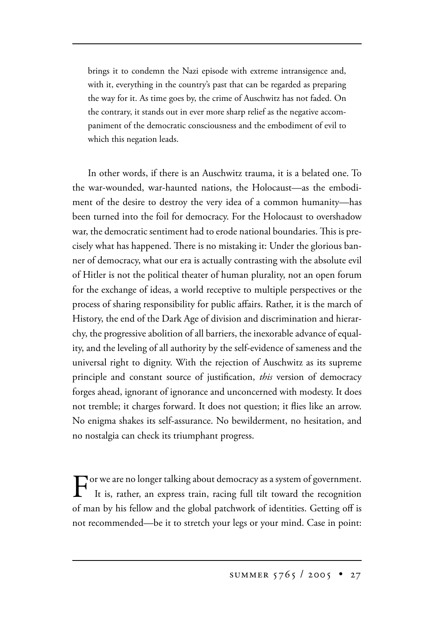brings it to condemn the Nazi episode with extreme intransigence and, with it, everything in the country's past that can be regarded as preparing the way for it. As time goes by, the crime of Auschwitz has not faded. On the contrary, it stands out in ever more sharp relief as the negative accompaniment of the democratic consciousness and the embodiment of evil to which this negation leads.

In other words, if there is an Auschwitz trauma, it is a belated one. To the war-wounded, war-haunted nations, the Holocaust—as the embodiment of the desire to destroy the very idea of a common humanity—has been turned into the foil for democracy. For the Holocaust to overshadow war, the democratic sentiment had to erode national boundaries. This is precisely what has happened. There is no mistaking it: Under the glorious banner of democracy, what our era is actually contrasting with the absolute evil of Hitler is not the political theater of human plurality, not an open forum for the exchange of ideas, a world receptive to multiple perspectives or the process of sharing responsibility for public affairs. Rather, it is the march of History, the end of the Dark Age of division and discrimination and hierarchy, the progressive abolition of all barriers, the inexorable advance of equality, and the leveling of all authority by the self-evidence of sameness and the universal right to dignity. With the rejection of Auschwitz as its supreme principle and constant source of justification, *this* version of democracy forges ahead, ignorant of ignorance and unconcerned with modesty. It does not tremble; it charges forward. It does not question; it flies like an arrow. No enigma shakes its self-assurance. No bewilderment, no hesitation, and no nostalgia can check its triumphant progress.

For we are no longer talking about democracy as a system of government. It is, rather, an express train, racing full tilt toward the recognition of man by his fellow and the global patchwork of identities. Getting off is not recommended—be it to stretch your legs or your mind. Case in point: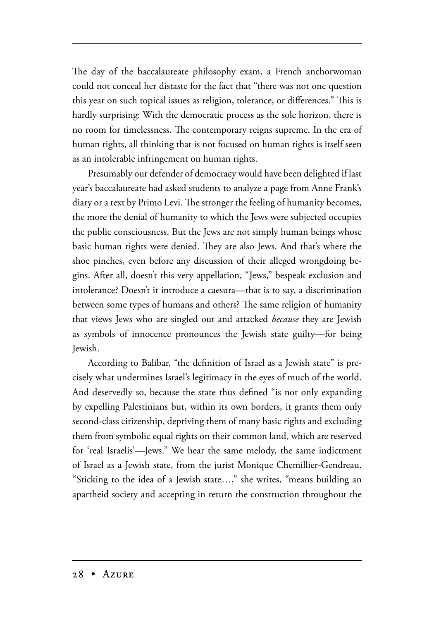The day of the baccalaureate philosophy exam, a French anchorwoman could not conceal her distaste for the fact that "there was not one question this year on such topical issues as religion, tolerance, or differences." This is hardly surprising: With the democratic process as the sole horizon, there is no room for timelessness. The contemporary reigns supreme. In the era of human rights, all thinking that is not focused on human rights is itself seen as an intolerable infringement on human rights.

Presumably our defender of democracy would have been delighted if last year's baccalaureate had asked students to analyze a page from Anne Frank's diary or a text by Primo Levi. The stronger the feeling of humanity becomes, the more the denial of humanity to which the Jews were subjected occupies the public consciousness. But the Jews are not simply human beings whose basic human rights were denied. They are also Jews. And that's where the shoe pinches, even before any discussion of their alleged wrongdoing begins. After all, doesn't this very appellation, "Jews," bespeak exclusion and intolerance? Doesn't it introduce a caesura—that is to say, a discrimination between some types of humans and others? The same religion of humanity that views Jews who are singled out and attacked *because* they are Jewish as symbols of innocence pronounces the Jewish state guilty—for being Jewish.

According to Balibar, "the definition of Israel as a Jewish state" is precisely what undermines Israel's legitimacy in the eyes of much of the world. And deservedly so, because the state thus defined "is not only expanding by expelling Palestinians but, within its own borders, it grants them only second-class citizenship, depriving them of many basic rights and excluding them from symbolic equal rights on their common land, which are reserved for 'real Israelis'—Jews." We hear the same melody, the same indictment of Israel as a Jewish state, from the jurist Monique Chemillier-Gendreau. "Sticking to the idea of a Jewish state…," she writes, "means building an apartheid society and accepting in return the construction throughout the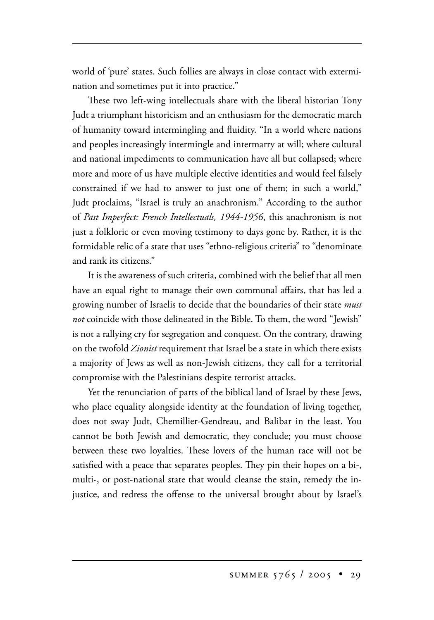world of 'pure' states. Such follies are always in close contact with extermination and sometimes put it into practice."

These two left-wing intellectuals share with the liberal historian Tony Judt a triumphant historicism and an enthusiasm for the democratic march of humanity toward intermingling and fluidity. "In a world where nations and peoples increasingly intermingle and intermarry at will; where cultural and national impediments to communication have all but collapsed; where more and more of us have multiple elective identities and would feel falsely constrained if we had to answer to just one of them; in such a world," Judt proclaims, "Israel is truly an anachronism." According to the author of *Past Imperfect: French Intellectuals, 1944-1956*, this anachronism is not just a folkloric or even moving testimony to days gone by. Rather, it is the formidable relic of a state that uses "ethno-religious criteria" to "denominate and rank its citizens."

It is the awareness of such criteria, combined with the belief that all men have an equal right to manage their own communal affairs, that has led a growing number of Israelis to decide that the boundaries of their state *must not* coincide with those delineated in the Bible. To them, the word "Jewish" is not a rallying cry for segregation and conquest. On the contrary, drawing on the twofold *Zionist* requirement that Israel be a state in which there exists a majority of Jews as well as non-Jewish citizens, they call for a territorial compromise with the Palestinians despite terrorist attacks.

Yet the renunciation of parts of the biblical land of Israel by these Jews, who place equality alongside identity at the foundation of living together, does not sway Judt, Chemillier-Gendreau, and Balibar in the least. You cannot be both Jewish and democratic, they conclude; you must choose between these two loyalties. These lovers of the human race will not be satisfied with a peace that separates peoples. They pin their hopes on a bi-, multi-, or post-national state that would cleanse the stain, remedy the injustice, and redress the offense to the universal brought about by Israel's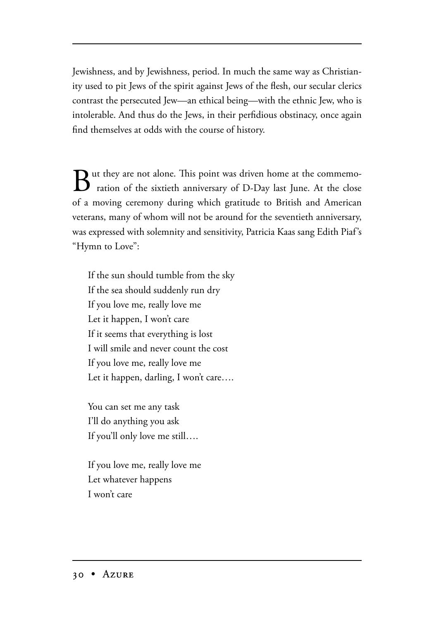Jewishness, and by Jewishness, period. In much the same way as Christianity used to pit Jews of the spirit against Jews of the flesh, our secular clerics contrast the persecuted Jew—an ethical being—with the ethnic Jew, who is intolerable. And thus do the Jews, in their perfidious obstinacy, once again find themselves at odds with the course of history.

 $\mathbf{B}$ ut they are not alone. This point was driven home at the commemo ration of the sixtieth anniversary of D-Day last June. At the close of a moving ceremony during which gratitude to British and American veterans, many of whom will not be around for the seventieth anniversary, was expressed with solemnity and sensitivity, Patricia Kaas sang Edith Piaf's "Hymn to Love":

If the sun should tumble from the sky If the sea should suddenly run dry If you love me, really love me Let it happen, I won't care If it seems that everything is lost I will smile and never count the cost If you love me, really love me Let it happen, darling, I won't care….

You can set me any task I'll do anything you ask If you'll only love me still….

If you love me, really love me Let whatever happens I won't care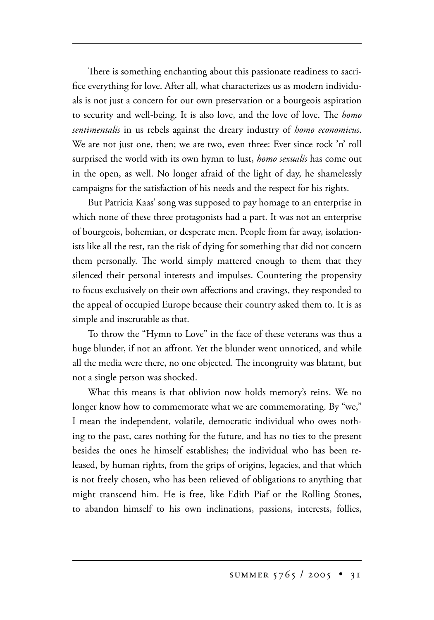There is something enchanting about this passionate readiness to sacrifice everything for love. After all, what characterizes us as modern individuals is not just a concern for our own preservation or a bourgeois aspiration to security and well-being. It is also love, and the love of love. The *homo sentimentalis* in us rebels against the dreary industry of *homo economicus*. We are not just one, then; we are two, even three: Ever since rock 'n' roll surprised the world with its own hymn to lust, *homo sexualis* has come out in the open, as well. No longer afraid of the light of day, he shamelessly campaigns for the satisfaction of his needs and the respect for his rights.

But Patricia Kaas' song was supposed to pay homage to an enterprise in which none of these three protagonists had a part. It was not an enterprise of bourgeois, bohemian, or desperate men. People from far away, isolationists like all the rest, ran the risk of dying for something that did not concern them personally. The world simply mattered enough to them that they silenced their personal interests and impulses. Countering the propensity to focus exclusively on their own affections and cravings, they responded to the appeal of occupied Europe because their country asked them to. It is as simple and inscrutable as that.

To throw the "Hymn to Love" in the face of these veterans was thus a huge blunder, if not an affront. Yet the blunder went unnoticed, and while all the media were there, no one objected. The incongruity was blatant, but not a single person was shocked.

What this means is that oblivion now holds memory's reins. We no longer know how to commemorate what we are commemorating. By "we," I mean the independent, volatile, democratic individual who owes nothing to the past, cares nothing for the future, and has no ties to the present besides the ones he himself establishes; the individual who has been released, by human rights, from the grips of origins, legacies, and that which is not freely chosen, who has been relieved of obligations to anything that might transcend him. He is free, like Edith Piaf or the Rolling Stones, to abandon himself to his own inclinations, passions, interests, follies,